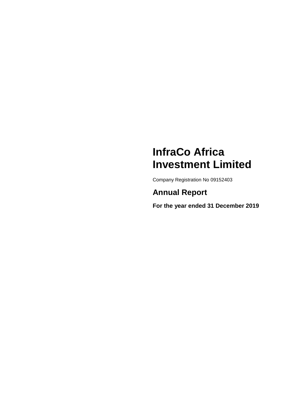# **InfraCo Africa Investment Limited**

Company Registration No 09152403

**Annual Report**

**For the year ended 31 December 2019**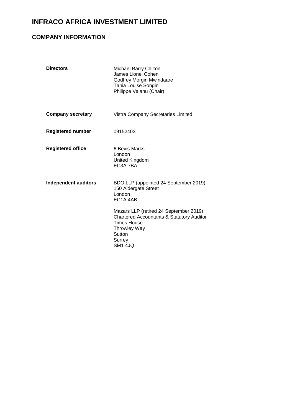# **COMPANY INFORMATION**

| <b>Directors</b>            | Michael Barry Chilton<br>James Lionel Cohen<br>Godfrey Morgin Mwindaare<br>Tania Louise Songini<br>Philippe Valahu (Chair)                                                         |
|-----------------------------|------------------------------------------------------------------------------------------------------------------------------------------------------------------------------------|
| <b>Company secretary</b>    | Vistra Company Secretaries Limited                                                                                                                                                 |
| <b>Registered number</b>    | 09152403                                                                                                                                                                           |
| <b>Registered office</b>    | 6 Bevis Marks<br>London<br>United Kingdom<br>EC <sub>3</sub> A 7BA                                                                                                                 |
| <b>Independent auditors</b> | BDO LLP (appointed 24 September 2019)<br>150 Aldergate Street<br>London<br>EC <sub>1</sub> A 4AB                                                                                   |
|                             | Mazars LLP (retired 24 September 2019)<br><b>Chartered Accountants &amp; Statutory Auditor</b><br><b>Times House</b><br><b>Throwley Way</b><br>Sutton<br>Surrey<br><b>SM1 4.IQ</b> |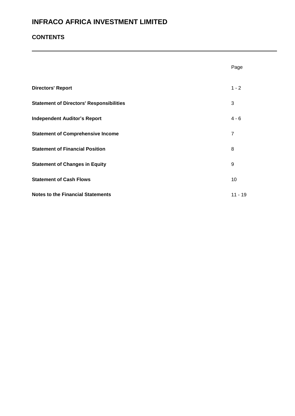# **CONTENTS**

|                                                 | Page           |
|-------------------------------------------------|----------------|
| <b>Directors' Report</b>                        | $1 - 2$        |
| <b>Statement of Directors' Responsibilities</b> | 3              |
| <b>Independent Auditor's Report</b>             | $4 - 6$        |
| <b>Statement of Comprehensive Income</b>        | $\overline{7}$ |
| <b>Statement of Financial Position</b>          | 8              |
| <b>Statement of Changes in Equity</b>           | 9              |
| <b>Statement of Cash Flows</b>                  | 10             |
| <b>Notes to the Financial Statements</b>        | $11 - 19$      |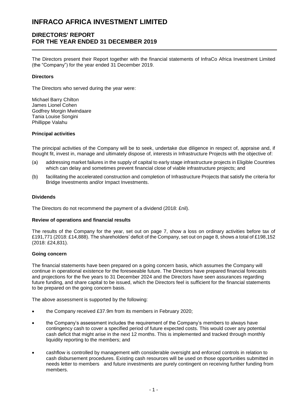### **DIRECTORS' REPORT FOR THE YEAR ENDED 31 DECEMBER 2019**

The Directors present their Report together with the financial statements of InfraCo Africa Investment Limited (the "Company") for the year ended 31 December 2019.

#### **Directors**

The Directors who served during the year were:

Michael Barry Chilton James Lionel Cohen Godfrey Morgin Mwindaare Tania Louise Songini Phillippe Valahu

#### **Principal activities**

The principal activities of the Company will be to seek, undertake due diligence in respect of, appraise and, if thought fit, invest in, manage and ultimately dispose of, interests in Infrastructure Projects with the objective of:

- (a) addressing market failures in the supply of capital to early stage infrastructure projects in Eligible Countries which can delay and sometimes prevent financial close of viable infrastructure projects; and
- (b) facilitating the accelerated construction and completion of Infrastructure Projects that satisfy the criteria for Bridge Investments and/or Impact Investments.

#### **Dividends**

The Directors do not recommend the payment of a dividend (2018: £nil).

#### **Review of operations and financial results**

The results of the Company for the year, set out on page 7, show a loss on ordinary activities before tax of £191,771 (2018: £14,888). The shareholders' deficit of the Company, set out on page 8, shows a total of £198,152 (2018: £24,831).

#### **Going concern**

The financial statements have been prepared on a going concern basis, which assumes the Company will continue in operational existence for the foreseeable future. The Directors have prepared financial forecasts and projections for the five years to 31 December 2024 and the Directors have seen assurances regarding future funding, and share capital to be issued, which the Directors feel is sufficient for the financial statements to be prepared on the going concern basis.

The above assessment is supported by the following:

- the Company received £37.9m from its members in February 2020;
- the Company's assessment includes the requirement of the Company's members to always have contingency cash to cover a specified period of future expected costs. This would cover any potential cash deficit that might arise in the next 12 months. This is implemented and tracked through monthly liquidity reporting to the members; and
- cashflow is controlled by management with considerable oversight and enforced controls in relation to cash disbursement procedures. Existing cash resources will be used on those opportunities submitted in needs letter to members and future investments are purely contingent on receiving further funding from members.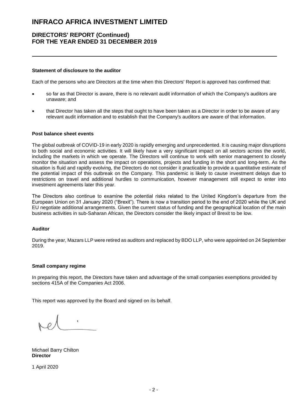### **DIRECTORS' REPORT (Continued) FOR THE YEAR ENDED 31 DECEMBER 2019**

#### **Statement of disclosure to the auditor**

Each of the persons who are Directors at the time when this Directors' Report is approved has confirmed that:

- so far as that Director is aware, there is no relevant audit information of which the Company's auditors are unaware; and
- that Director has taken all the steps that ought to have been taken as a Director in order to be aware of any relevant audit information and to establish that the Company's auditors are aware of that information.

#### **Post balance sheet events**

The global outbreak of COVID-19 in early 2020 is rapidly emerging and unprecedented. It is causing major disruptions to both social and economic activities. It will likely have a very significant impact on all sectors across the world, including the markets in which we operate. The Directors will continue to work with senior management to closely monitor the situation and assess the impact on operations, projects and funding in the short and long-term. As the situation is fluid and rapidly evolving, the Directors do not consider it practicable to provide a quantitative estimate of the potential impact of this outbreak on the Company. This pandemic is likely to cause investment delays due to restrictions on travel and additional hurdles to communication, however management still expect to enter into investment agreements later this year.

The Directors also continue to examine the potential risks related to the United Kingdom's departure from the European Union on 31 January 2020 ("Brexit"). There is now a transition period to the end of 2020 while the UK and EU negotiate additional arrangements. Given the current status of funding and the geographical location of the main business activities in sub-Saharan African, the Directors consider the likely impact of Brexit to be low.

#### **Auditor**

During the year, Mazars LLP were retired as auditors and replaced by BDO LLP, who were appointed on 24 September 2019.

#### **Small company regime**

In preparing this report, the Directors have taken and advantage of the small companies exemptions provided by sections 415A of the Companies Act 2006.

This report was approved by the Board and signed on its behalf.

Michael Barry Chilton **Director**

1 April 2020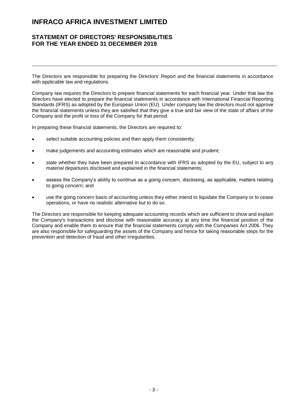### **STATEMENT OF DIRECTORS' RESPONSIBILITIES FOR THE YEAR ENDED 31 DECEMBER 2019**

The Directors are responsible for preparing the Directors' Report and the financial statements in accordance with applicable law and regulations.

Company law requires the Directors to prepare financial statements for each financial year. Under that law the directors have elected to prepare the financial statements in accordance with International Financial Reporting Standards (IFRS) as adopted by the European Union (EU). Under company law the directors must not approve the financial statements unless they are satisfied that they give a true and fair view of the state of affairs of the Company and the profit or loss of the Company for that period.

In preparing these financial statements, the Directors are required to:

- select suitable accounting policies and then apply them consistently:
- make judgements and accounting estimates which are reasonable and prudent;
- state whether they have been prepared in accordance with IFRS as adopted by the EU, subject to any material departures disclosed and explained in the financial statements;
- assess the Company's ability to continue as a going concern, disclosing, as applicable, matters relating to going concern; and
- use the going concern basis of accounting unless they either intend to liquidate the Company or to cease operations, or have no realistic alternative but to do so.

The Directors are responsible for keeping adequate accounting records which are sufficient to show and explain the Company's transactions and disclose with reasonable accuracy at any time the financial position of the Company and enable them to ensure that the financial statements comply with the Companies Act 2006. They are also responsible for safeguarding the assets of the Company and hence for taking reasonable steps for the prevention and detection of fraud and other irregularities.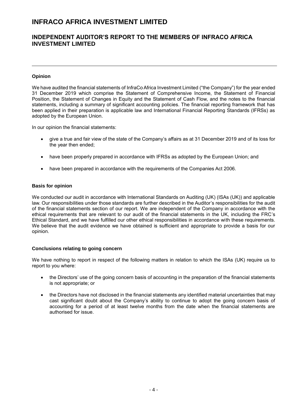### **INDEPENDENT AUDITOR'S REPORT TO THE MEMBERS OF INFRACO AFRICA INVESTMENT LIMITED**

#### **Opinion**

We have audited the financial statements of InfraCo Africa Investment Limited ("the Company") for the year ended 31 December 2019 which comprise the Statement of Comprehensive Income, the Statement of Financial Position, the Statement of Changes in Equity and the Statement of Cash Flow, and the notes to the financial statements, including a summary of significant accounting policies. The financial reporting framework that has been applied in their preparation is applicable law and International Financial Reporting Standards (IFRSs) as adopted by the European Union.

In our opinion the financial statements:

- give a true and fair view of the state of the Company's affairs as at 31 December 2019 and of its loss for the year then ended;
- have been properly prepared in accordance with IFRSs as adopted by the European Union; and
- have been prepared in accordance with the requirements of the Companies Act 2006.

#### **Basis for opinion**

We conducted our audit in accordance with International Standards on Auditing (UK) (ISAs (UK)) and applicable law. Our responsibilities under those standards are further described in the Auditor's responsibilities for the audit of the financial statements section of our report. We are independent of the Company in accordance with the ethical requirements that are relevant to our audit of the financial statements in the UK, including the FRC's Ethical Standard, and we have fulfilled our other ethical responsibilities in accordance with these requirements. We believe that the audit evidence we have obtained is sufficient and appropriate to provide a basis for our opinion.

#### **Conclusions relating to going concern**

We have nothing to report in respect of the following matters in relation to which the ISAs (UK) require us to report to you where:

- the Directors' use of the going concern basis of accounting in the preparation of the financial statements is not appropriate; or
- the Directors have not disclosed in the financial statements any identified material uncertainties that may cast significant doubt about the Company's ability to continue to adopt the going concern basis of accounting for a period of at least twelve months from the date when the financial statements are authorised for issue.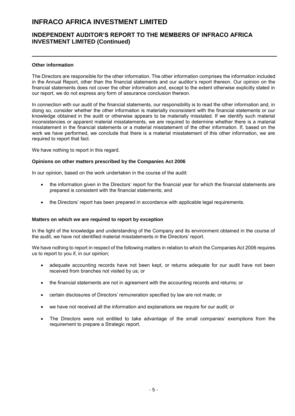### **INDEPENDENT AUDITOR'S REPORT TO THE MEMBERS OF INFRACO AFRICA INVESTMENT LIMITED (Continued)**

#### **Other information**

The Directors are responsible for the other information. The other information comprises the information included in the Annual Report, other than the financial statements and our auditor's report thereon. Our opinion on the financial statements does not cover the other information and, except to the extent otherwise explicitly stated in our report, we do not express any form of assurance conclusion thereon.

In connection with our audit of the financial statements, our responsibility is to read the other information and, in doing so, consider whether the other information is materially inconsistent with the financial statements or our knowledge obtained in the audit or otherwise appears to be materially misstated. If we identify such material inconsistencies or apparent material misstatements, we are required to determine whether there is a material misstatement in the financial statements or a material misstatement of the other information. If, based on the work we have performed, we conclude that there is a material misstatement of this other information, we are required to report that fact.

We have nothing to report in this regard.

#### **Opinions on other matters prescribed by the Companies Act 2006**

In our opinion, based on the work undertaken in the course of the audit:

- the information given in the Directors' report for the financial year for which the financial statements are prepared is consistent with the financial statements; and
- the Directors' report has been prepared in accordance with applicable legal requirements.

#### **Matters on which we are required to report by exception**

In the light of the knowledge and understanding of the Company and its environment obtained in the course of the audit, we have not identified material misstatements in the Directors' report.

We have nothing to report in respect of the following matters in relation to which the Companies Act 2006 requires us to report to you if, in our opinion;

- adequate accounting records have not been kept, or returns adequate for our audit have not been received from branches not visited by us; or
- the financial statements are not in agreement with the accounting records and returns; or
- certain disclosures of Directors' remuneration specified by law are not made; or
- we have not received all the information and explanations we require for our audit; or
- The Directors were not entitled to take advantage of the small companies' exemptions from the requirement to prepare a Strategic report.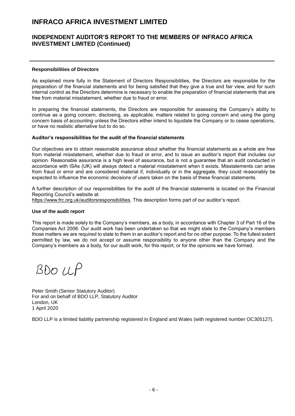### **INDEPENDENT AUDITOR'S REPORT TO THE MEMBERS OF INFRACO AFRICA INVESTMENT LIMITED (Continued)**

#### **Responsibilities of Directors**

As explained more fully in the Statement of Directors Responsibilities, the Directors are responsible for the preparation of the financial statements and for being satisfied that they give a true and fair view, and for such internal control as the Directors determine is necessary to enable the preparation of financial statements that are free from material misstatement, whether due to fraud or error.

In preparing the financial statements, the Directors are responsible for assessing the Company's ability to continue as a going concern, disclosing, as applicable, matters related to going concern and using the going concern basis of accounting unless the Directors either intend to liquidate the Company or to cease operations, or have no realistic alternative but to do so.

#### **Auditor's responsibilities for the audit of the financial statements**

Our objectives are to obtain reasonable assurance about whether the financial statements as a whole are free from material misstatement, whether due to fraud or error, and to issue an auditor's report that includes our opinion. Reasonable assurance is a high level of assurance, but is not a guarantee that an audit conducted in accordance with ISAs (UK) will always detect a material misstatement when it exists. Misstatements can arise from fraud or error and are considered material if, individually or in the aggregate, they could reasonably be expected to influence the economic decisions of users taken on the basis of these financial statements.

A further description of our responsibilities for the audit of the financial statements is located on the Financial Reporting Council's website at: [https://www.frc.org.uk/auditorsresponsibilities.](https://www.frc.org.uk/auditorsresponsibilities) This description forms part of our auditor's report.

#### **Use of the audit report**

This report is made solely to the Company's members, as a body, in accordance with Chapter 3 of Part 16 of the Companies Act 2006. Our audit work has been undertaken so that we might state to the Company's members those matters we are required to state to them in an auditor's report and for no other purpose. To the fullest extent permitted by law, we do not accept or assume responsibility to anyone other than the Company and the Company's members as a body, for our audit work, for this report, or for the opinions we have formed.

 $BDOULP$ 

Peter Smith (Senior Statutory Auditor) For and on behalf of BDO LLP, Statutory Auditor London, UK 1 April 2020

BDO LLP is a limited liability partnership registered in England and Wales (with registered number OC305127).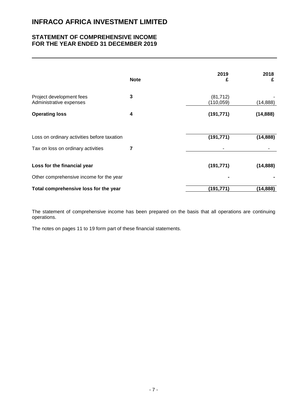### **STATEMENT OF COMPREHENSIVE INCOME FOR THE YEAR ENDED 31 DECEMBER 2019**

|                                                                        | <b>Note</b> | 2019<br>£               | 2018<br>£ |
|------------------------------------------------------------------------|-------------|-------------------------|-----------|
| Project development fees<br>Administrative expenses                    | 3           | (81, 712)<br>(110, 059) | (14, 888) |
| <b>Operating loss</b>                                                  | 4           | (191, 771)              | (14, 888) |
| Loss on ordinary activities before taxation                            |             | (191, 771)              | (14, 888) |
| Tax on loss on ordinary activities                                     | 7           |                         |           |
| Loss for the financial year<br>Other comprehensive income for the year |             | (191, 771)              | (14, 888) |
| Total comprehensive loss for the year                                  |             | (191, 771)              | (14, 888) |

The statement of comprehensive income has been prepared on the basis that all operations are continuing operations.

The notes on pages 11 to 19 form part of these financial statements.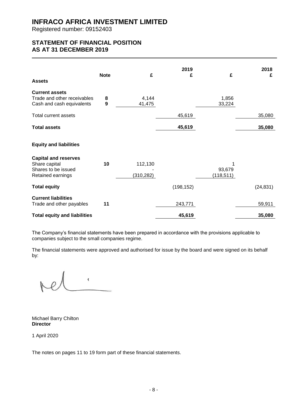Registered number: 09152403

### **STATEMENT OF FINANCIAL POSITION AS AT 31 DECEMBER 2019**

| <b>Assets</b>                                                                            | <b>Note</b> | £                    | 2019<br>£  | £                    | 2018<br>£ |
|------------------------------------------------------------------------------------------|-------------|----------------------|------------|----------------------|-----------|
| <b>Current assets</b><br>Trade and other receivables<br>Cash and cash equivalents        | 8<br>9      | 4,144<br>41,475      |            | 1,856<br>33,224      |           |
| <b>Total current assets</b>                                                              |             |                      | 45,619     |                      | 35,080    |
| <b>Total assets</b>                                                                      |             |                      | 45,619     |                      | 35,080    |
| <b>Equity and liabilities</b>                                                            |             |                      |            |                      |           |
| <b>Capital and reserves</b><br>Share capital<br>Shares to be issued<br>Retained earnings | 10          | 112,130<br>(310,282) |            | 93,679<br>(118, 511) |           |
| <b>Total equity</b>                                                                      |             |                      | (198, 152) |                      | (24, 831) |
| <b>Current liabilities</b><br>Trade and other payables                                   | 11          |                      | 243,771    |                      | 59,911    |
| <b>Total equity and liabilities</b>                                                      |             |                      | 45,619     |                      | 35,080    |

The Company's financial statements have been prepared in accordance with the provisions applicable to companies subject to the small companies regime.

The financial statements were approved and authorised for issue by the board and were signed on its behalf by:

ť

Michael Barry Chilton **Director**

1 April 2020

The notes on pages 11 to 19 form part of these financial statements.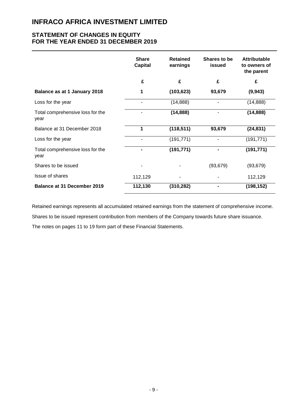### **STATEMENT OF CHANGES IN EQUITY FOR THE YEAR ENDED 31 DECEMBER 2019**

|                                          | <b>Share</b><br><b>Capital</b> | <b>Retained</b><br>earnings | Shares to be<br><b>issued</b> | <b>Attributable</b><br>to owners of<br>the parent |
|------------------------------------------|--------------------------------|-----------------------------|-------------------------------|---------------------------------------------------|
|                                          | £                              | £                           | £                             | £                                                 |
| Balance as at 1 January 2018             | 1                              | (103, 623)                  | 93,679                        | (9, 943)                                          |
| Loss for the year                        | ۰                              | (14, 888)                   | ۰                             | (14, 888)                                         |
| Total comprehensive loss for the<br>year |                                | (14, 888)                   |                               | (14, 888)                                         |
| Balance at 31 December 2018              | 1                              | (118, 511)                  | 93,679                        | (24, 831)                                         |
| Loss for the year                        | ۰                              | (191, 771)                  | $\overline{\phantom{a}}$      | (191, 771)                                        |
| Total comprehensive loss for the<br>year |                                | (191, 771)                  |                               | (191, 771)                                        |
| Shares to be issued                      |                                |                             | (93, 679)                     | (93, 679)                                         |
| Issue of shares                          | 112,129                        |                             |                               | 112,129                                           |
| Balance at 31 December 2019              | 112,130                        | (310,282)                   |                               | (198, 152)                                        |

Retained earnings represents all accumulated retained earnings from the statement of comprehensive income. Shares to be issued represent contribution from members of the Company towards future share issuance. The notes on pages 11 to 19 form part of these Financial Statements.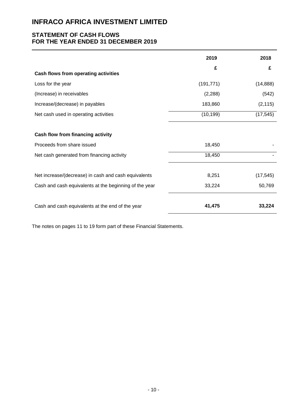### **STATEMENT OF CASH FLOWS FOR THE YEAR ENDED 31 DECEMBER 2019**

|                                                        | 2019       | 2018      |
|--------------------------------------------------------|------------|-----------|
| Cash flows from operating activities                   | £          | £         |
| Loss for the year                                      | (191, 771) | (14, 888) |
| (Increase) in receivables                              | (2,288)    | (542)     |
| Increase/(decrease) in payables                        | 183,860    | (2, 115)  |
| Net cash used in operating activities                  | (10, 199)  | (17, 545) |
| <b>Cash flow from financing activity</b>               |            |           |
| Proceeds from share issued                             | 18,450     |           |
| Net cash generated from financing activity             | 18,450     |           |
| Net increase/(decrease) in cash and cash equivalents   | 8,251      | (17, 545) |
| Cash and cash equivalents at the beginning of the year | 33,224     | 50,769    |
| Cash and cash equivalents at the end of the year       | 41,475     | 33,224    |

The notes on pages 11 to 19 form part of these Financial Statements.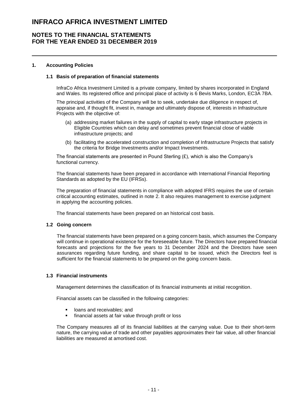### **NOTES TO THE FINANCIAL STATEMENTS FOR THE YEAR ENDED 31 DECEMBER 2019**

#### **1. Accounting Policies**

#### **1.1 Basis of preparation of financial statements**

InfraCo Africa Investment Limited is a private company, limited by shares incorporated in England and Wales. Its registered office and principal place of activity is 6 Bevis Marks, London, EC3A 7BA.

The principal activities of the Company will be to seek, undertake due diligence in respect of, appraise and, if thought fit, invest in, manage and ultimately dispose of, interests in Infrastructure Projects with the objective of:

- (a) addressing market failures in the supply of capital to early stage infrastructure projects in Eligible Countries which can delay and sometimes prevent financial close of viable infrastructure projects; and
- (b) facilitating the accelerated construction and completion of Infrastructure Projects that satisfy the criteria for Bridge Investments and/or Impact Investments.

The financial statements are presented in Pound Sterling  $(E)$ , which is also the Company's functional currency.

The financial statements have been prepared in accordance with International Financial Reporting Standards as adopted by the EU (IFRSs).

The preparation of financial statements in compliance with adopted IFRS requires the use of certain critical accounting estimates, outlined in note 2. It also requires management to exercise judgment in applying the accounting policies.

The financial statements have been prepared on an historical cost basis.

#### **1.2 Going concern**

The financial statements have been prepared on a going concern basis, which assumes the Company will continue in operational existence for the foreseeable future. The Directors have prepared financial forecasts and projections for the five years to 31 December 2024 and the Directors have seen assurances regarding future funding, and share capital to be issued, which the Directors feel is sufficient for the financial statements to be prepared on the going concern basis.

#### **1.3 Financial instruments**

Management determines the classification of its financial instruments at initial recognition.

Financial assets can be classified in the following categories:

- **If** loans and receivables; and
- financial assets at fair value through profit or loss

The Company measures all of its financial liabilities at the carrying value. Due to their short-term nature, the carrying value of trade and other payables approximates their fair value, all other financial liabilities are measured at amortised cost.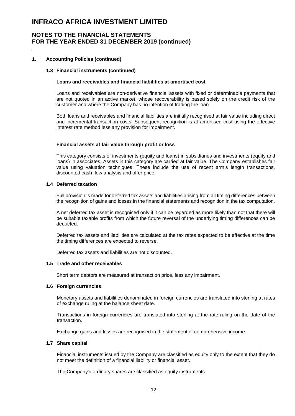### **NOTES TO THE FINANCIAL STATEMENTS FOR THE YEAR ENDED 31 DECEMBER 2019 (continued)**

#### **1. Accounting Policies (continued)**

#### **1.3 Financial instruments (continued)**

#### **Loans and receivables and financial liabilities at amortised cost**

Loans and receivables are non-derivative financial assets with fixed or determinable payments that are not quoted in an active market, whose recoverability is based solely on the credit risk of the customer and where the Company has no intention of trading the loan.

Both loans and receivables and financial liabilities are initially recognised at fair value including direct and incremental transaction costs. Subsequent recognition is at amortised cost using the effective interest rate method less any provision for impairment.

#### **Financial assets at fair value through profit or loss**

This category consists of investments (equity and loans) in subsidiaries and investments (equity and loans) in associates. Assets in this category are carried at fair value. The Company establishes fair value using valuation techniques. These include the use of recent arm's length transactions, discounted cash flow analysis and offer price.

#### **1.4 Deferred taxation**

Full provision is made for deferred tax assets and liabilities arising from all timing differences between the recognition of gains and losses in the financial statements and recognition in the tax computation.

A net deferred tax asset is recognised only if it can be regarded as more likely than not that there will be suitable taxable profits from which the future reversal of the underlying timing differences can be deducted.

Deferred tax assets and liabilities are calculated at the tax rates expected to be effective at the time the timing differences are expected to reverse.

Deferred tax assets and liabilities are not discounted.

#### **1.5 Trade and other receivables**

Short term debtors are measured at transaction price, less any impairment.

#### **1.6 Foreign currencies**

Monetary assets and liabilities denominated in foreign currencies are translated into sterling at rates of exchange ruling at the balance sheet date.

Transactions in foreign currencies are translated into sterling at the rate ruling on the date of the transaction.

Exchange gains and losses are recognised in the statement of comprehensive income.

#### **1.7 Share capital**

Financial instruments issued by the Company are classified as equity only to the extent that they do not meet the definition of a financial liability or financial asset.

The Company's ordinary shares are classified as equity instruments.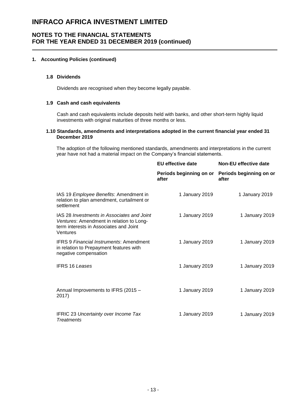### **NOTES TO THE FINANCIAL STATEMENTS FOR THE YEAR ENDED 31 DECEMBER 2019 (continued)**

#### **1. Accounting Policies (continued)**

#### **1.8 Dividends**

Dividends are recognised when they become legally payable.

#### **1.9 Cash and cash equivalents**

Cash and cash equivalents include deposits held with banks, and other short-term highly liquid investments with original maturities of three months or less.

#### **1.10 Standards, amendments and interpretations adopted in the current financial year ended 31 December 2019**

The adoption of the following mentioned standards, amendments and interpretations in the current year have not had a material impact on the Company's financial statements.

|                                                                                                                                              | EU effective date                | Non-EU effective date            |
|----------------------------------------------------------------------------------------------------------------------------------------------|----------------------------------|----------------------------------|
|                                                                                                                                              | Periods beginning on or<br>after | Periods beginning on or<br>after |
| IAS 19 Employee Benefits: Amendment in<br>relation to plan amendment, curtailment or<br>settlement                                           | 1 January 2019                   | 1 January 2019                   |
| IAS 28 Investments in Associates and Joint<br>Ventures: Amendment in relation to Long-<br>term interests in Associates and Joint<br>Ventures | 1 January 2019                   | 1 January 2019                   |
| <b>IFRS 9 Financial Instruments: Amendment</b><br>in relation to Prepayment features with<br>negative compensation                           | 1 January 2019                   | 1 January 2019                   |
| <b>IFRS 16 Leases</b>                                                                                                                        | 1 January 2019                   | 1 January 2019                   |
| Annual Improvements to IFRS (2015 -<br>2017)                                                                                                 | 1 January 2019                   | 1 January 2019                   |
| <b>IFRIC 23 Uncertainty over Income Tax</b><br><b>Treatments</b>                                                                             | 1 January 2019                   | 1 January 2019                   |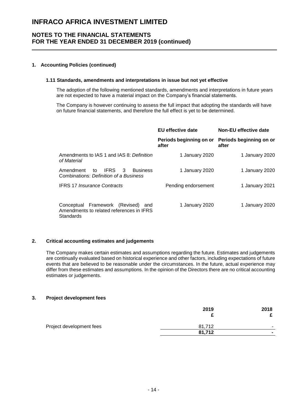### **NOTES TO THE FINANCIAL STATEMENTS FOR THE YEAR ENDED 31 DECEMBER 2019 (continued)**

#### **1. Accounting Policies (continued)**

#### **1.11 Standards, amendments and interpretations in issue but not yet effective**

The adoption of the following mentioned standards, amendments and interpretations in future years are not expected to have a material impact on the Company's financial statements.

The Company is however continuing to assess the full impact that adopting the standards will have on future financial statements, and therefore the full effect is yet to be determined.

|                                                                                                    | EU effective date                | Non-EU effective date            |
|----------------------------------------------------------------------------------------------------|----------------------------------|----------------------------------|
|                                                                                                    | Periods beginning on or<br>after | Periods beginning on or<br>after |
| Amendments to IAS 1 and IAS 8: Definition<br>of Material                                           | 1 January 2020                   | 1 January 2020                   |
| <b>IFRS</b><br>Amendment<br>- 3<br><b>Business</b><br>to<br>Combinations: Definition of a Business | 1 January 2020                   | 1 January 2020                   |
| <b>IFRS 17 Insurance Contracts</b>                                                                 | Pending endorsement              | 1 January 2021                   |
| Conceptual Framework (Revised)<br>and<br>Amendments to related references in IFRS<br>Standards     | 1 January 2020                   | 1 January 2020                   |

#### **2. Critical accounting estimates and judgements**

The Company makes certain estimates and assumptions regarding the future. Estimates and judgements are continually evaluated based on historical experience and other factors, including expectations of future events that are believed to be reasonable under the circumstances. In the future, actual experience may differ from these estimates and assumptions. In the opinion of the Directors there are no critical accounting estimates or judgements.

#### **3. Project development fees**

|                          | 2019   | 2018<br>c |
|--------------------------|--------|-----------|
| Project development fees | 81.712 | -         |
|                          | 81,712 | ۰         |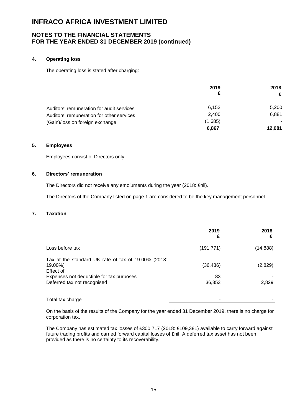### **NOTES TO THE FINANCIAL STATEMENTS FOR THE YEAR ENDED 31 DECEMBER 2019 (continued)**

#### **4. Operating loss**

The operating loss is stated after charging:

|                                           | 2019<br>£ | 2018   |
|-------------------------------------------|-----------|--------|
| Auditors' remuneration for audit services | 6,152     | 5,200  |
| Auditors' remuneration for other services | 2,400     | 6,881  |
| (Gain)/loss on foreign exchange           | (1,685)   |        |
|                                           | 6.867     | 12.081 |

#### **5. Employees**

Employees consist of Directors only.

#### **6. Directors' remuneration**

The Directors did not receive any emoluments during the year (2018: £nil).

The Directors of the Company listed on page 1 are considered to be the key management personnel.

#### **7. Taxation**

|                                                                              | 2019<br>£    | 2018<br>£ |
|------------------------------------------------------------------------------|--------------|-----------|
| Loss before tax                                                              | (191, 771)   | (14, 888) |
| Tax at the standard UK rate of tax of 19.00% (2018:<br>19.00%)<br>Effect of: | (36, 436)    | (2,829)   |
| Expenses not deductible for tax purposes<br>Deferred tax not recognised      | 83<br>36,353 | 2,829     |
| Total tax charge                                                             |              |           |

On the basis of the results of the Company for the year ended 31 December 2019, there is no charge for corporation tax.

The Company has estimated tax losses of £300,717 (2018: £109,381) available to carry forward against future trading profits and carried forward capital losses of £nil. A deferred tax asset has not been provided as there is no certainty to its recoverability.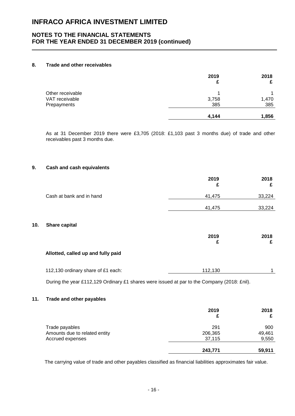### **NOTES TO THE FINANCIAL STATEMENTS FOR THE YEAR ENDED 31 DECEMBER 2019 (continued)**

### **8. Trade and other receivables**

|                  | 2019<br>£ | 2018<br>£ |
|------------------|-----------|-----------|
| Other receivable |           |           |
| VAT receivable   | 3,758     | 1,470     |
| Prepayments      | 385       | 385       |
|                  | 4,144     | 1,856     |

As at 31 December 2019 there were £3,705 (2018: £1,103 past 3 months due) of trade and other receivables past 3 months due.

#### **9. Cash and cash equivalents**

|                          | 2019   | 2018<br>£ |
|--------------------------|--------|-----------|
| Cash at bank and in hand | 41.475 | 33,224    |
|                          | 41.475 | 33,224    |

#### **10. Share capital**

|                                    | 2019<br>£ | 2018<br>£ |
|------------------------------------|-----------|-----------|
| Allotted, called up and fully paid |           |           |

112,130 ordinary share of £1 each: 112,130 112,130

During the year £112,129 Ordinary £1 shares were issued at par to the Company (2018: £nil).

#### **11. Trade and other payables**

|                                                                     | 2019<br>£                | 2018<br>£              |
|---------------------------------------------------------------------|--------------------------|------------------------|
| Trade payables<br>Amounts due to related entity<br>Accrued expenses | 291<br>206,365<br>37,115 | 900<br>49,461<br>9,550 |
|                                                                     | 243,771                  | 59,911                 |

The carrying value of trade and other payables classified as financial liabilities approximates fair value.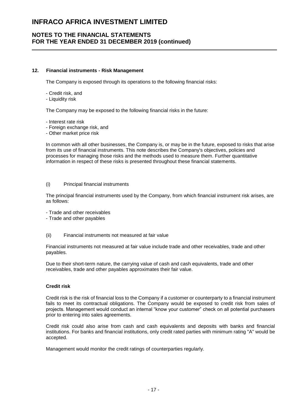### **NOTES TO THE FINANCIAL STATEMENTS FOR THE YEAR ENDED 31 DECEMBER 2019 (continued)**

#### **12. Financial instruments - Risk Management**

The Company is exposed through its operations to the following financial risks:

- Credit risk, and
- Liquidity risk

The Company may be exposed to the following financial risks in the future:

- Interest rate risk

- Foreign exchange risk, and
- Other market price risk

In common with all other businesses, the Company is, or may be in the future, exposed to risks that arise from its use of financial instruments. This note describes the Company's objectives, policies and processes for managing those risks and the methods used to measure them. Further quantitative information in respect of these risks is presented throughout these financial statements.

#### (i) Principal financial instruments

The principal financial instruments used by the Company, from which financial instrument risk arises, are as follows:

- Trade and other receivables

- Trade and other payables
- (ii) Financial instruments not measured at fair value

Financial instruments not measured at fair value include trade and other receivables, trade and other payables.

Due to their short-term nature, the carrying value of cash and cash equivalents, trade and other receivables, trade and other payables approximates their fair value.

#### **Credit risk**

Credit risk is the risk of financial loss to the Company if a customer or counterparty to a financial instrument fails to meet its contractual obligations. The Company would be exposed to credit risk from sales of projects. Management would conduct an internal "know your customer" check on all potential purchasers prior to entering into sales agreements.

Credit risk could also arise from cash and cash equivalents and deposits with banks and financial institutions. For banks and financial institutions, only credit rated parties with minimum rating "A" would be accepted.

Management would monitor the credit ratings of counterparties regularly.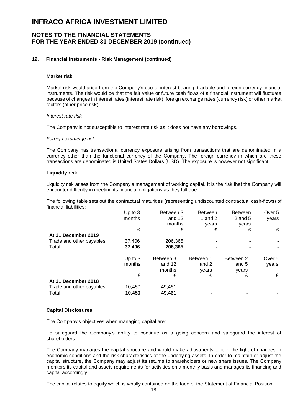### **NOTES TO THE FINANCIAL STATEMENTS FOR THE YEAR ENDED 31 DECEMBER 2019 (continued)**

#### **12. Financial instruments - Risk Management (continued)**

#### **Market risk**

Market risk would arise from the Company's use of interest bearing, tradable and foreign currency financial instruments. The risk would be that the fair value or future cash flows of a financial instrument will fluctuate because of changes in interest rates (interest rate risk), foreign exchange rates (currency risk) or other market factors (other price risk).

#### *Interest rate risk*

The Company is not susceptible to interest rate risk as it does not have any borrowings.

#### *Foreign exchange risk*

The Company has transactional currency exposure arising from transactions that are denominated in a currency other than the functional currency of the Company. The foreign currency in which are these transactions are denominated is United States Dollars (USD). The exposure is however not significant.

#### **Liquidity risk**

Liquidity risk arises from the Company's management of working capital. It is the risk that the Company will encounter difficulty in meeting its financial obligations as they fall due.

The following table sets out the contractual maturities (representing undiscounted contractual cash-flows) of financial liabilities:

|                          | Up to 3<br>months | Between 3<br>and 12<br>months | <b>Between</b><br>1 and $2$<br>years | <b>Between</b><br>2 and 5<br>years | Over <sub>5</sub><br>years |
|--------------------------|-------------------|-------------------------------|--------------------------------------|------------------------------------|----------------------------|
|                          | £                 | £                             | £                                    | £                                  | £                          |
| At 31 December 2019      |                   |                               |                                      |                                    |                            |
| Trade and other payables | 37,406            | 206,365                       |                                      |                                    |                            |
| Total                    | 37,406            | 206,365                       |                                      |                                    |                            |
|                          | Up to $3$         | Between 3                     | Between 1                            | Between 2                          | Over 5                     |
|                          | months            | and 12                        | and 2                                | and 5                              | vears                      |
|                          |                   | months                        | years                                | years                              |                            |
|                          | £                 | £                             | £                                    | £                                  | £                          |
| At 31 December 2018      |                   |                               |                                      |                                    |                            |
| Trade and other payables | 10,450            | 49,461                        |                                      |                                    |                            |
| Total                    | 10,450            | 49,461                        |                                      |                                    |                            |

#### **Capital Disclosures**

The Company's objectives when managing capital are:

To safeguard the Company's ability to continue as a going concern and safeguard the interest of shareholders.

The Company manages the capital structure and would make adjustments to it in the light of changes in economic conditions and the risk characteristics of the underlying assets. In order to maintain or adjust the capital structure, the Company may adjust its returns to shareholders or new share issues. The Company monitors its capital and assets requirements for activities on a monthly basis and manages its financing and capital accordingly.

The capital relates to equity which is wholly contained on the face of the Statement of Financial Position.